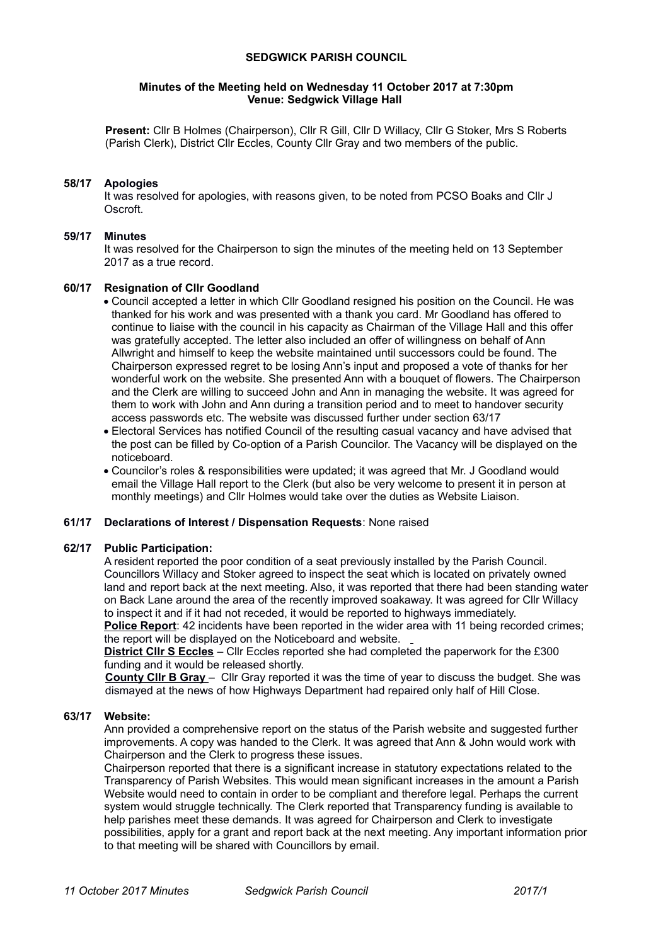### **SEDGWICK PARISH COUNCIL**

#### **Minutes of the Meeting held on Wednesday 11 October 2017 at 7:30pm Venue: Sedgwick Village Hall**

**Present:** Cllr B Holmes (Chairperson), Cllr R Gill, Cllr D Willacy, Cllr G Stoker, Mrs S Roberts (Parish Clerk), District Cllr Eccles, County Cllr Gray and two members of the public.

### **58/17 Apologies**

It was resolved for apologies, with reasons given, to be noted from PCSO Boaks and Cllr J Oscroft.

## **59/17 Minutes**

It was resolved for the Chairperson to sign the minutes of the meeting held on 13 September 2017 as a true record.

### **60/17 Resignation of Cllr Goodland**

 Council accepted a letter in which Cllr Goodland resigned his position on the Council. He was thanked for his work and was presented with a thank you card. Mr Goodland has offered to continue to liaise with the council in his capacity as Chairman of the Village Hall and this offer was gratefully accepted. The letter also included an offer of willingness on behalf of Ann Allwright and himself to keep the website maintained until successors could be found. The Chairperson expressed regret to be losing Ann's input and proposed a vote of thanks for her wonderful work on the website. She presented Ann with a bouquet of flowers. The Chairperson and the Clerk are willing to succeed John and Ann in managing the website. It was agreed for them to work with John and Ann during a transition period and to meet to handover security access passwords etc. The website was discussed further under section 63/17

- Electoral Services has notified Council of the resulting casual vacancy and have advised that the post can be filled by Co-option of a Parish Councilor. The Vacancy will be displayed on the noticeboard.
- Councilor's roles & responsibilities were updated; it was agreed that Mr. J Goodland would email the Village Hall report to the Clerk (but also be very welcome to present it in person at monthly meetings) and Cllr Holmes would take over the duties as Website Liaison.

### **61/17 Declarations of Interest / Dispensation Requests**: None raised

### **62/17 Public Participation:**

A resident reported the poor condition of a seat previously installed by the Parish Council. Councillors Willacy and Stoker agreed to inspect the seat which is located on privately owned land and report back at the next meeting. Also, it was reported that there had been standing water on Back Lane around the area of the recently improved soakaway. It was agreed for Cllr Willacy to inspect it and if it had not receded, it would be reported to highways immediately.

**Police Report**: 42 incidents have been reported in the wider area with 11 being recorded crimes; the report will be displayed on the Noticeboard and website.

**District Cllr S Eccles** – Cllr Eccles reported she had completed the paperwork for the £300 funding and it would be released shortly.

 **County Cllr B Gray** – Cllr Gray reported it was the time of year to discuss the budget. She was dismayed at the news of how Highways Department had repaired only half of Hill Close.

### **63/17 Website:**

Ann provided a comprehensive report on the status of the Parish website and suggested further improvements. A copy was handed to the Clerk. It was agreed that Ann & John would work with Chairperson and the Clerk to progress these issues.

Chairperson reported that there is a significant increase in statutory expectations related to the Transparency of Parish Websites. This would mean significant increases in the amount a Parish Website would need to contain in order to be compliant and therefore legal. Perhaps the current system would struggle technically. The Clerk reported that Transparency funding is available to help parishes meet these demands. It was agreed for Chairperson and Clerk to investigate possibilities, apply for a grant and report back at the next meeting. Any important information prior to that meeting will be shared with Councillors by email.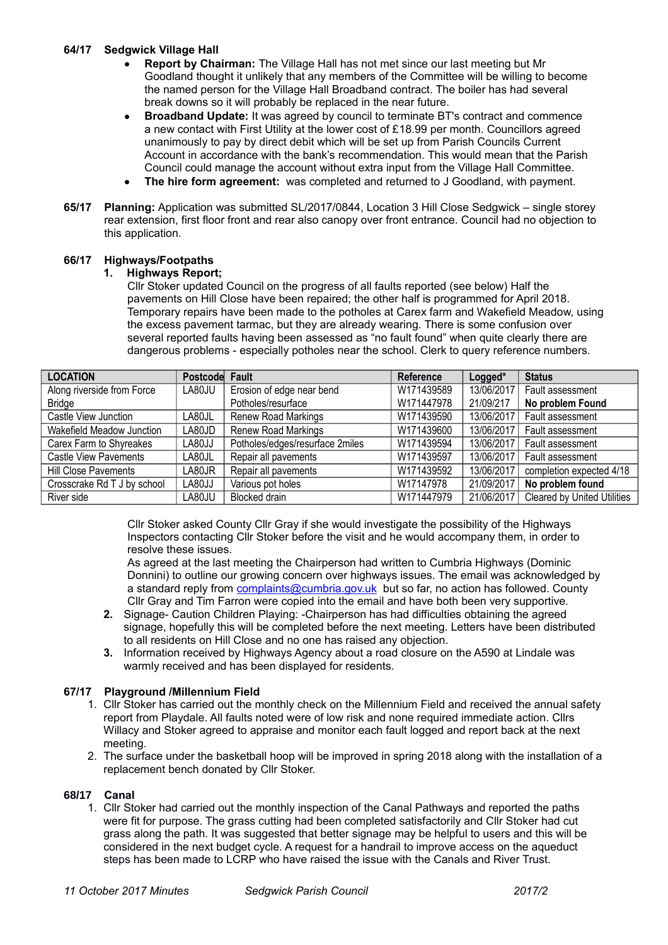## **64/17 Sedgwick Village Hall**

- **Report by Chairman:** The Village Hall has not met since our last meeting but Mr Goodland thought it unlikely that any members of the Committee will be willing to become the named person for the Village Hall Broadband contract. The boiler has had several break downs so it will probably be replaced in the near future.
- **Broadband Update:** It was agreed by council to terminate BT's contract and commence a new contact with First Utility at the lower cost of £18.99 per month. Councillors agreed unanimously to pay by direct debit which will be set up from Parish Councils Current Account in accordance with the bank's recommendation. This would mean that the Parish Council could manage the account without extra input from the Village Hall Committee.
- **The hire form agreement:** was completed and returned to J Goodland, with payment.
- **65/17 Planning:** Application was submitted SL/2017/0844, Location 3 Hill Close Sedgwick single storey rear extension, first floor front and rear also canopy over front entrance. Council had no objection to this application.

## **66/17 Highways/Footpaths**

## **1. Highways Report;**

Cllr Stoker updated Council on the progress of all faults reported (see below) Half the pavements on Hill Close have been repaired; the other half is programmed for April 2018. Temporary repairs have been made to the potholes at Carex farm and Wakefield Meadow, using the excess pavement tarmac, but they are already wearing. There is some confusion over several reported faults having been assessed as "no fault found" when quite clearly there are dangerous problems - especially potholes near the school. Clerk to query reference numbers.

| <b>LOCATION</b>              | Postcode Fault |                                 | Reference  | Logged*    | <b>Status</b>                      |
|------------------------------|----------------|---------------------------------|------------|------------|------------------------------------|
| Along riverside from Force   | LA80JU         | Erosion of edge near bend       | W171439589 | 13/06/2017 | Fault assessment                   |
| <b>Bridge</b>                |                | Potholes/resurface              | W171447978 | 21/09/217  | No problem Found                   |
| Castle View Junction         | LA80JL         | <b>Renew Road Markings</b>      | W171439590 | 13/06/2017 | Fault assessment                   |
| Wakefield Meadow Junction    | LA80JD         | <b>Renew Road Markings</b>      | W171439600 | 13/06/2017 | Fault assessment                   |
| Carex Farm to Shyreakes      | LA80JJ         | Potholes/edges/resurface 2miles | W171439594 | 13/06/2017 | Fault assessment                   |
| <b>Castle View Pavements</b> | LA80JL         | Repair all pavements            | W171439597 | 13/06/2017 | Fault assessment                   |
| <b>Hill Close Pavements</b>  | LA80JR         | Repair all pavements            | W171439592 | 13/06/2017 | completion expected 4/18           |
| Crosscrake Rd T J by school  | LA80JJ         | Various pot holes               | W17147978  | 21/09/2017 | No problem found                   |
| River side                   | LA80JU         | <b>Blocked drain</b>            | W171447979 | 21/06/2017 | <b>Cleared by United Utilities</b> |

Cllr Stoker asked County Cllr Gray if she would investigate the possibility of the Highways Inspectors contacting Cllr Stoker before the visit and he would accompany them, in order to resolve these issues.

As agreed at the last meeting the Chairperson had written to Cumbria Highways (Dominic Donnini) to outline our growing concern over highways issues. The email was acknowledged by a standard reply from [complaints@cumbria.gov.uk](mailto:complaints@cumbria.gov.uk) but so far, no action has followed. County Cllr Gray and Tim Farron were copied into the email and have both been very supportive.

- **2.** Signage- Caution Children Playing: -Chairperson has had difficulties obtaining the agreed signage, hopefully this will be completed before the next meeting. Letters have been distributed to all residents on Hill Close and no one has raised any objection.
- **3.** Information received by Highways Agency about a road closure on the A590 at Lindale was warmly received and has been displayed for residents.

## **67/17 Playground /Millennium Field**

- 1. Cllr Stoker has carried out the monthly check on the Millennium Field and received the annual safety report from Playdale. All faults noted were of low risk and none required immediate action. Cllrs Willacy and Stoker agreed to appraise and monitor each fault logged and report back at the next meeting.
- 2. The surface under the basketball hoop will be improved in spring 2018 along with the installation of a replacement bench donated by Cllr Stoker.

## **68/17 Canal**

1. Cllr Stoker had carried out the monthly inspection of the Canal Pathways and reported the paths were fit for purpose. The grass cutting had been completed satisfactorily and Cllr Stoker had cut grass along the path. It was suggested that better signage may be helpful to users and this will be considered in the next budget cycle. A request for a handrail to improve access on the aqueduct steps has been made to LCRP who have raised the issue with the Canals and River Trust.